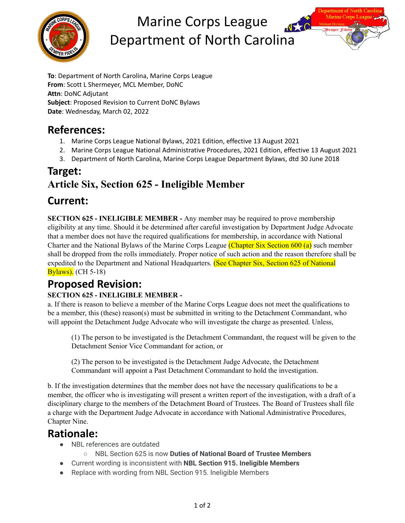

# Marine Corps League Department of North Carolina

**To**: Department of North Carolina, Marine Corps League **From**: Scott L Shermeyer, MCL Member, DoNC **Attn**: DoNC Adjutant **Subject**: Proposed Revision to Current DoNC Bylaws **Date**: Wednesday, March 02, 2022

#### **References:**

- 1. Marine Corps League National Bylaws, 2021 Edition, effective 13 August 2021
- 2. Marine Corps League National Administrative Procedures, 2021 Edition, effective 13 August 2021
- 3. Department of North Carolina, Marine Corps League Department Bylaws, dtd 30 June 2018

### **Target: Article Six, Section 625 - Ineligible Member**

# **Current:**

**SECTION 625 - INELIGIBLE MEMBER -** Any member may be required to prove membership eligibility at any time. Should it be determined after careful investigation by Department Judge Advocate that a member does not have the required qualifications for membership, in accordance with National Charter and the National Bylaws of the Marine Corps League (Chapter Six Section 600 (a) such member shall be dropped from the rolls immediately. Proper notice of such action and the reason therefore shall be expedited to the Department and National Headquarters. (See Chapter Six, Section 625 of National **Bylaws**). (CH 5-18)

# **Proposed Revision:**

#### **SECTION 625 - INELIGIBLE MEMBER -**

a. If there is reason to believe a member of the Marine Corps League does not meet the qualifications to be a member, this (these) reason(s) must be submitted in writing to the Detachment Commandant, who will appoint the Detachment Judge Advocate who will investigate the charge as presented. Unless,

(1) The person to be investigated is the Detachment Commandant, the request will be given to the Detachment Senior Vice Commandant for action, or

(2) The person to be investigated is the Detachment Judge Advocate, the Detachment Commandant will appoint a Past Detachment Commandant to hold the investigation.

b. If the investigation determines that the member does not have the necessary qualifications to be a member, the officer who is investigating will present a written report of the investigation, with a draft of a disciplinary charge to the members of the Detachment Board of Trustees. The Board of Trustees shall file a charge with the Department Judge Advocate in accordance with National Administrative Procedures, Chapter Nine.

#### **Rationale:**

- NBL references are outdated
	- NBL Section 625 is now **Duties of National Board of Trustee Members**
- Current wording is inconsistent with **NBL Section 915. Ineligible Members**
- Replace with wording from NBL Section 915. Ineligible Members